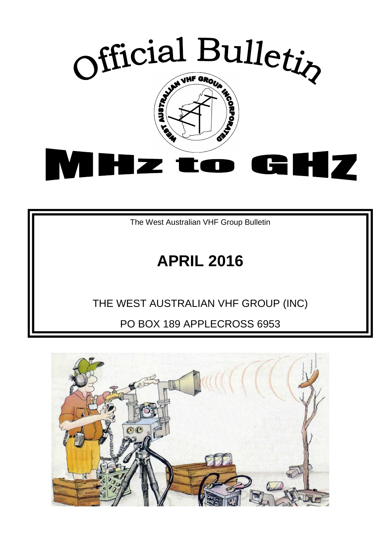

The West Australian VHF Group Bulletin

# **APRIL 2016**

### THE WEST AUSTRALIAN VHF GROUP (INC)

PO BOX 189 APPLECROSS 6953

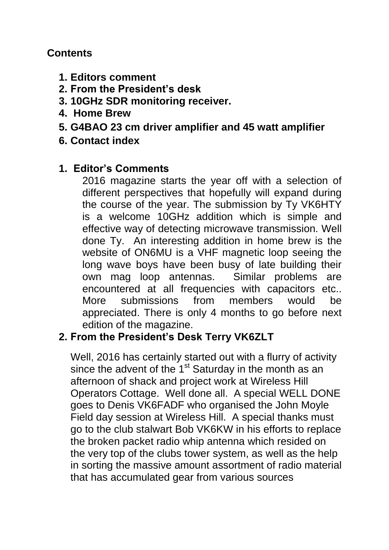### **Contents**

- **1. Editors comment**
- **2. From the President's desk**
- **3. 10GHz SDR monitoring receiver.**
- **4. Home Brew**
- **5. G4BAO 23 cm driver amplifier and 45 watt amplifier**
- **6. Contact index**

#### **1. Editor's Comments**

2016 magazine starts the year off with a selection of different perspectives that hopefully will expand during the course of the year. The submission by Ty VK6HTY is a welcome 10GHz addition which is simple and effective way of detecting microwave transmission. Well done Ty. An interesting addition in home brew is the website of ON6MU is a VHF magnetic loop seeing the long wave boys have been busy of late building their own mag loop antennas. Similar problems are encountered at all frequencies with capacitors etc.. More submissions from members would be appreciated. There is only 4 months to go before next edition of the magazine.

#### **2. From the President's Desk Terry VK6ZLT**

Well, 2016 has certainly started out with a flurry of activity since the advent of the  $1<sup>st</sup>$  Saturday in the month as an afternoon of shack and project work at Wireless Hill Operators Cottage. Well done all. A special WELL DONE goes to Denis VK6FADF who organised the John Moyle Field day session at Wireless Hill. A special thanks must go to the club stalwart Bob VK6KW in his efforts to replace the broken packet radio whip antenna which resided on the very top of the clubs tower system, as well as the help in sorting the massive amount assortment of radio material that has accumulated gear from various sources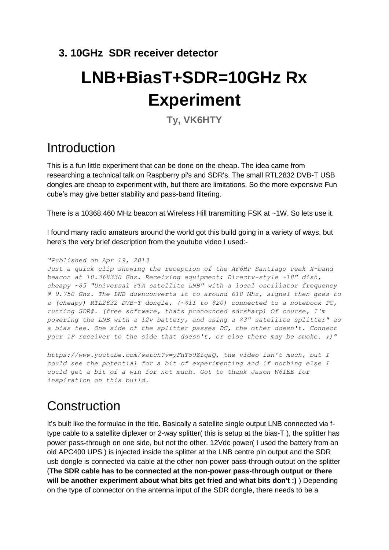#### **3. 10GHz SDR receiver detector**

# **LNB+BiasT+SDR=10GHz Rx Experiment**

**Ty, VK6HTY**

# Introduction

This is a fun little experiment that can be done on the cheap. The idea came from researching a technical talk on Raspberry pi's and SDR's. The small RTL2832 DVB-T USB dongles are cheap to experiment with, but there are limitations. So the more expensive Fun cube's may give better stability and pass-band filtering.

There is a 10368.460 MHz beacon at Wireless Hill transmitting FSK at ~1W. So lets use it.

I found many radio amateurs around the world got this build going in a variety of ways, but here's the very brief description from the youtube video I used:-

```
"Published on Apr 19, 2013
```
*Just a quick clip showing the reception of the AF6HP Santiago Peak X-band beacon at 10.368330 Ghz. Receiving equipment: Directv-style ~18" dish, cheapy ~\$5 "Universal FTA satellite LNB" with a local oscillator frequency @ 9.750 Ghz. The LNB downconverts it to around 618 Mhz, signal then goes to a (cheapy) RTL2832 DVB-T dongle, (~\$11 to \$20) connected to a notebook PC, running SDR#. (free software, thats pronounced sdrsharp) Of course, I'm powering the LNB with a 12v battery, and using a \$3" satellite splitter" as a bias tee. One side of the splitter passes DC, the other doesn't. Connect your IF receiver to the side that doesn't, or else there may be smoke. ;)"*

*https://www.youtube.com/watch?v=yFhT59ZfqaQ, the video isn't much, but I could see the potential for a bit of experimenting and if nothing else I could get a bit of a win for not much. Got to thank Jason W6IEE for inspiration on this build.*

# Construction

It's built like the formulae in the title. Basically a satellite single output LNB connected via ftype cable to a satellite diplexer or 2-way splitter( this is setup at the bias-T ), the splitter has power pass-through on one side, but not the other. 12Vdc power( I used the battery from an old APC400 UPS ) is injected inside the splitter at the LNB centre pin output and the SDR usb dongle is connected via cable at the other non-power pass-through output on the splitter (**The SDR cable has to be connected at the non-power pass-through output or there will be another experiment about what bits get fried and what bits don't :)** ) Depending on the type of connector on the antenna input of the SDR dongle, there needs to be a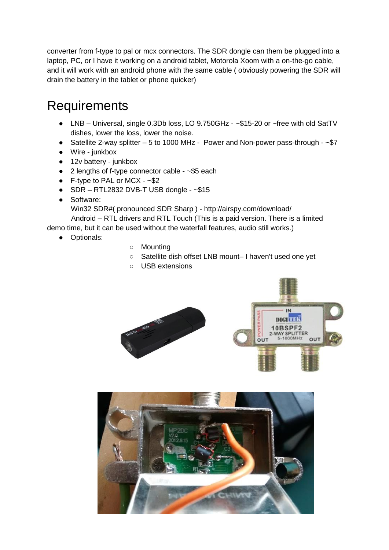converter from f-type to pal or mcx connectors. The SDR dongle can them be plugged into a laptop, PC, or I have it working on a android tablet, Motorola Xoom with a on-the-go cable, and it will work with an android phone with the same cable ( obviously powering the SDR will drain the battery in the tablet or phone quicker)

## **Requirements**

- LNB Universal, single 0.3Db loss, LO 9.750GHz ~\$15-20 or ~free with old SatTV dishes, lower the loss, lower the noise.
- Satellite 2-way splitter  $-5$  to 1000 MHz Power and Non-power pass-through  $-$ \$7
- Wire junkbox
- 12v battery junkbox
- $\bullet$  2 lengths of f-type connector cable  $\sim$ \$5 each
- F-type to PAL or MCX  $\sim$  \$2
- $\bullet$  SDR RTL2832 DVB-T USB dongle ~\$15
- Software: Win32 SDR#( pronounced SDR Sharp ) - http://airspy.com/download/ Android – RTL drivers and RTL Touch (This is a paid version. There is a limited

demo time, but it can be used without the waterfall features, audio still works.)

- Optionals:
- Mounting
- Satellite dish offset LNB mount– I haven't used one yet
- USB extensions



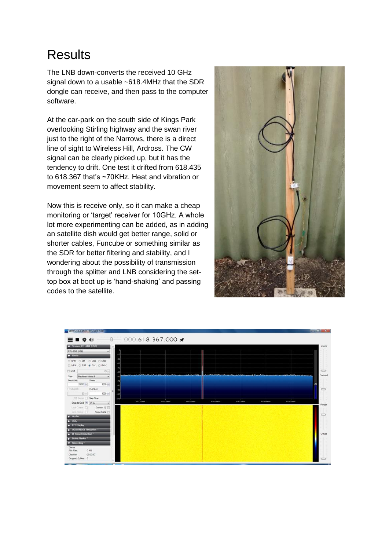# **Results**

The LNB down-converts the received 10 GHz signal down to a usable ~618.4MHz that the SDR dongle can receive, and then pass to the computer software.

At the car-park on the south side of Kings Park overlooking Stirling highway and the swan river just to the right of the Narrows, there is a direct line of sight to Wireless Hill, Ardross. The CW signal can be clearly picked up, but it has the tendency to drift. One test it drifted from 618.435 to 618.367 that's ~70KHz. Heat and vibration or movement seem to affect stability.

Now this is receive only, so it can make a cheap monitoring or 'target' receiver for 10GHz. A whole lot more experimenting can be added, as in adding an satellite dish would get better range, solid or shorter cables, Funcube or something similar as the SDR for better filtering and stability, and I wondering about the possibility of transmission through the splitter and LNB considering the settop box at boot up is 'hand-shaking' and passing codes to the satellite.



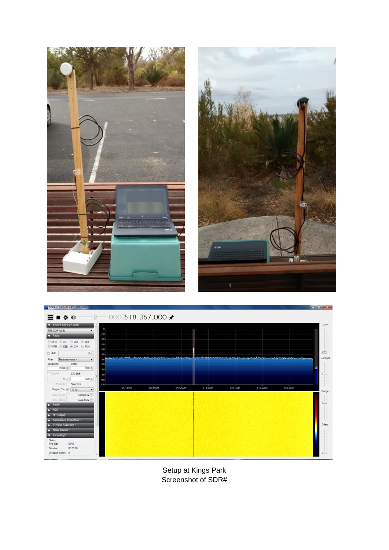



Setup at Kings Park Screenshot of SDR#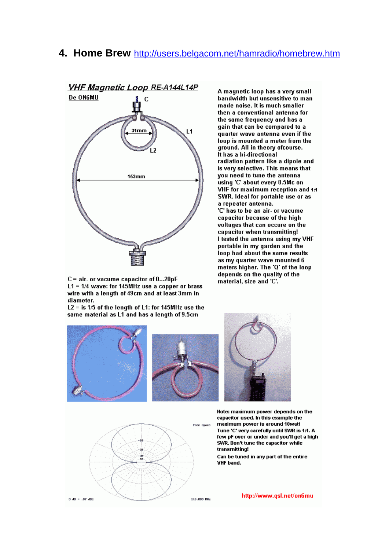#### **4. Home Brew** <http://users.belgacom.net/hamradio/homebrew.htm>



 $C = air$  or vacume capacitor of 0...20pF  $L1 = 1/4$  wave: for 145MHz use a copper or brass wire with a length of 49cm and at least 3mm in diameter.

 $L2 =$  is 1/5 of the length of L1: for 145MHz use the same material as L1 and has a length of 9.5cm





Free Space



Note: maximum power depends on the capacitor used. In this example the maximum power is around 10watt Tune 'C' very carefully until SWR is 1:1. A few pF over or under and you'll get a high SWR. Don't tune the capacitor while transmitting!

Can be tuned in any part of the entire VHF band.

0 dB = .07 dBd

145.000 MHz

http://www.qsl.net/on6mu

made noise. It is much smaller then a conventional antenna for the same frequency and has a gain that can be compared to a quarter wave antenna even if the loop is mounted a meter from the ground. All in theory ofcourse. It has a bi-directional radiation pattern like a dipole and is very selective. This means that you need to tune the antenna using 'C' about every 0.5Mc on VHF for maximum reception and 1:1 SWR. Ideal for portable use or as a repeater antenna. 'C' has to be an air- or vacume capacitor because of the high voltages that can occure on the capacitor when transmitting! I tested the antenna using my VHF portable in my garden and the loop had about the same results

A magnetic loop has a very small

bandwidth but unsensitive to man

as my quarter wave mounted 6 meters higher. The 'Q' of the loop depends on the quality of the material, size and 'C'.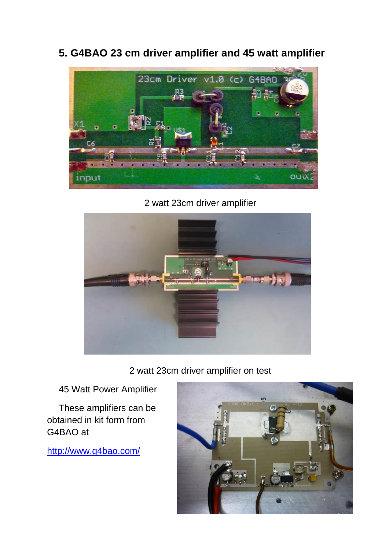

**5. G4BAO 23 cm driver amplifier and 45 watt amplifier**

2 watt 23cm driver amplifier



2 watt 23cm driver amplifier on test

45 Watt Power Amplifier

These amplifiers can be obtained in kit form from G4BAO at

<http://www.g4bao.com/>